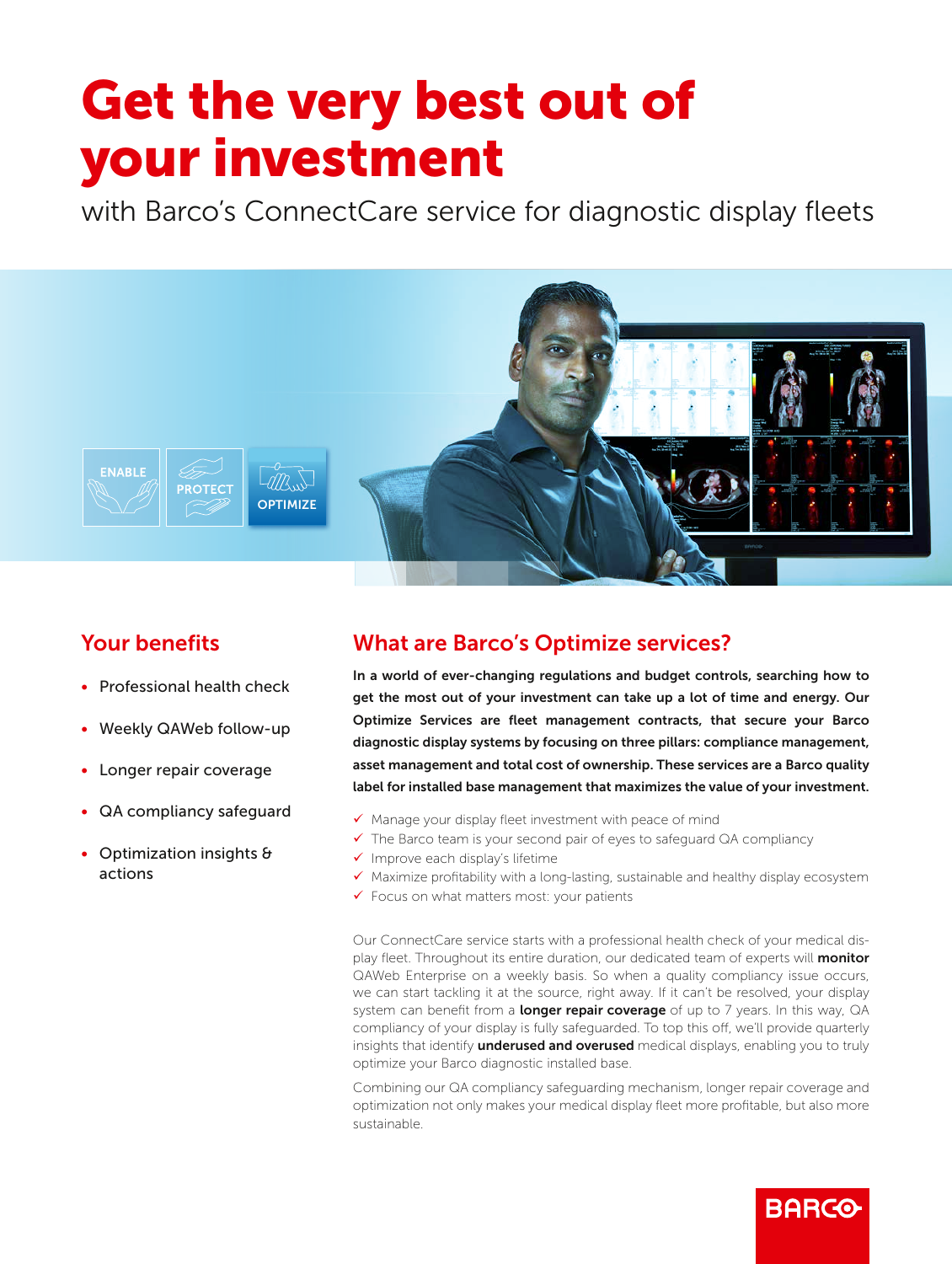# Get the very best out of your investment

with Barco's ConnectCare service for diagnostic display fleets



## Your benefits

- Professional health check
- Weekly QAWeb follow-up
- Longer repair coverage
- QA compliancy safeguard
- Optimization insights & actions

## What are Barco's Optimize services?

In a world of ever-changing regulations and budget controls, searching how to get the most out of your investment can take up a lot of time and energy. Our Optimize Services are fleet management contracts, that secure your Barco diagnostic display systems by focusing on three pillars: compliance management, asset management and total cost of ownership. These services are a Barco quality label for installed base management that maximizes the value of your investment.

- $\checkmark$  Manage your display fleet investment with peace of mind
- $\checkmark$  The Barco team is your second pair of eyes to safeguard QA compliancy
- $\checkmark$  Improve each display's lifetime
- $\checkmark$  Maximize profitability with a long-lasting, sustainable and healthy display ecosystem
- $\checkmark$  Focus on what matters most: your patients

Our ConnectCare service starts with a professional health check of your medical display fleet. Throughout its entire duration, our dedicated team of experts will monitor QAWeb Enterprise on a weekly basis. So when a quality compliancy issue occurs, we can start tackling it at the source, right away. If it can't be resolved, your display system can benefit from a longer repair coverage of up to 7 years. In this way, QA compliancy of your display is fully safeguarded. To top this off, we'll provide quarterly insights that identify *underused and overused* medical displays, enabling you to truly optimize your Barco diagnostic installed base.

Combining our QA compliancy safeguarding mechanism, longer repair coverage and optimization not only makes your medical display fleet more profitable, but also more sustainable.

**BARCO**